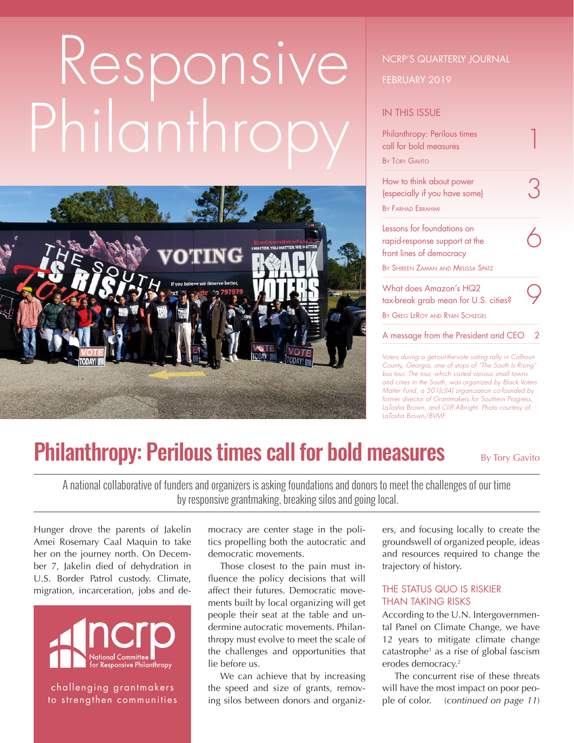# Responsive Philanthropy



#### NCRP'S QUARTERLY JOURNAL

#### FEBRUARY 2019

#### IN THIS ISSUE

| Philanthropy: Perilous times<br>call for bold measures |   |
|--------------------------------------------------------|---|
| <b>BY TORY GAVITO</b>                                  |   |
| How to think about power                               |   |
| (especially if you have some)                          |   |
| <b>BY FARHAD FRRAHIMI</b>                              |   |
| Lessons for foundations on                             |   |
| rapid-response support at the                          |   |
| front lines of democracy                               |   |
| BY SHIREEN ZAMAN AND MELISSA SPATZ                     |   |
| What does Amazon's HQ2                                 |   |
| tax-break grab mean for U.S. cities?                   |   |
| BY GREG LEROY AND RYAN SCHIEGEL                        |   |
| A message from the President and CEO                   | 2 |
| Votors during a gatout though voting rally in Calboun  |   |

*Voters during a get-out-the-vote voting rally in Calhoun County, Georgia, one of stops of "The South Is Rising" bus tour. The tour, which visited various small towns and cities in the South, was organized by Black Voters Matter Fund, a 501(c)(4) organization co-founded by former director of Grantmakers for Southern Progress, LaTosha Brown, and Cliff Albright. Photo courtesy of LaTosha Brown/BVMF.*

## Philanthropy: Perilous times call for bold measures By Tory Gavito

A national collaborative of funders and organizers is asking foundations and donors to meet the challenges of our time by responsive grantmaking, breaking silos and going local.

Hunger drove the parents of Jakelin Amei Rosemary Caal Maquin to take her on the journey north. On December 7, Jakelin died of dehydration in U.S. Border Patrol custody. Climate, migration, incarceration, jobs and de-



challenging grantmakers to strengthen communities

mocracy are center stage in the politics propelling both the autocratic and democratic movements.

Those closest to the pain must influence the policy decisions that will affect their futures. Democratic movements built by local organizing will get people their seat at the table and undermine autocratic movements. Philanthropy must evolve to meet the scale of the challenges and opportunities that lie before us.

We can achieve that by increasing the speed and size of grants, removing silos between donors and organizers, and focusing locally to create the groundswell of organized people, ideas and resources required to change the trajectory of history.

#### THE STATUS QUO IS RISKIER THAN TAKING RISKS

According to the U.N. Intergovernmental Panel on Climate Change, we have 12 years to mitigate climate change catastrophe<sup>1</sup> as a rise of global fascism erodes democracy.<sup>2</sup>

The concurrent rise of these threats will have the most impact on poor people of color. (*continued on page 11*)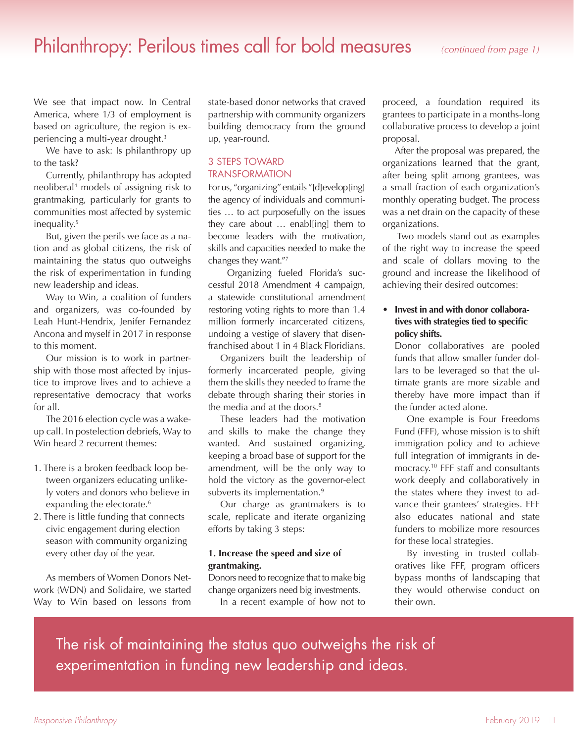### Philanthropy: Perilous times call for bold measures *(continued from page 1)*

We see that impact now. In Central America, where 1/3 of employment is based on agriculture, the region is experiencing a multi-year drought.<sup>3</sup>

We have to ask: Is philanthropy up to the task?

Currently, philanthropy has adopted neoliberal4 models of assigning risk to grantmaking, particularly for grants to communities most affected by systemic inequality.5

But, given the perils we face as a nation and as global citizens, the risk of maintaining the status quo outweighs the risk of experimentation in funding new leadership and ideas.

Way to Win, a coalition of funders and organizers, was co-founded by Leah Hunt-Hendrix, Jenifer Fernandez Ancona and myself in 2017 in response to this moment.

Our mission is to work in partnership with those most affected by injustice to improve lives and to achieve a representative democracy that works for all.

The 2016 election cycle was a wakeup call. In postelection debriefs, Way to Win heard 2 recurrent themes:

- 1. There is a broken feedback loop between organizers educating unlikely voters and donors who believe in expanding the electorate.<sup>6</sup>
- 2. There is little funding that connects civic engagement during election season with community organizing every other day of the year.

As members of Women Donors Network (WDN) and Solidaire, we started Way to Win based on lessons from

state-based donor networks that craved partnership with community organizers building democracy from the ground up, year-round.

#### 3 STEPS TOWARD TRANSFORMATION

For us, "organizing" entails "[d]evelop[ing] the agency of individuals and communities … to act purposefully on the issues they care about … enabl[ing] them to become leaders with the motivation, skills and capacities needed to make the changes they want."<sup>7</sup>

 Organizing fueled Florida's successful 2018 Amendment 4 campaign, a statewide constitutional amendment restoring voting rights to more than 1.4 million formerly incarcerated citizens, undoing a vestige of slavery that disenfranchised about 1 in 4 Black Floridians.

Organizers built the leadership of formerly incarcerated people, giving them the skills they needed to frame the debate through sharing their stories in the media and at the doors.<sup>8</sup>

These leaders had the motivation and skills to make the change they wanted. And sustained organizing, keeping a broad base of support for the amendment, will be the only way to hold the victory as the governor-elect subverts its implementation.<sup>9</sup>

Our charge as grantmakers is to scale, replicate and iterate organizing efforts by taking 3 steps:

#### **1. Increase the speed and size of grantmaking.**

Donors need to recognize that to make big change organizers need big investments.

In a recent example of how not to

proceed, a foundation required its grantees to participate in a months-long collaborative process to develop a joint proposal.

After the proposal was prepared, the organizations learned that the grant, after being split among grantees, was a small fraction of each organization's monthly operating budget. The process was a net drain on the capacity of these organizations.

 Two models stand out as examples of the right way to increase the speed and scale of dollars moving to the ground and increase the likelihood of achieving their desired outcomes:

#### **• Invest in and with donor collaboratives with strategies tied to specific policy shifts.**

Donor collaboratives are pooled funds that allow smaller funder dollars to be leveraged so that the ultimate grants are more sizable and thereby have more impact than if the funder acted alone.

One example is Four Freedoms Fund (FFF), whose mission is to shift immigration policy and to achieve full integration of immigrants in democracy.10 FFF staff and consultants work deeply and collaboratively in the states where they invest to advance their grantees' strategies. FFF also educates national and state funders to mobilize more resources for these local strategies.

By investing in trusted collaboratives like FFF, program officers bypass months of landscaping that they would otherwise conduct on their own.

The risk of maintaining the status quo outweighs the risk of experimentation in funding new leadership and ideas.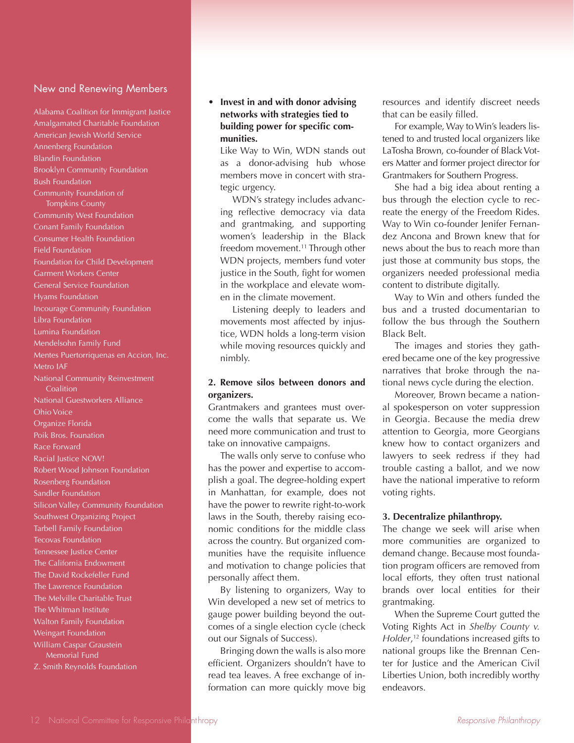#### New and Renewing Members

Alabama Coalition for Immigrant Justice Amalgamated Charitable Foundation American Jewish World Service Annenberg Foundation Blandin Foundation Brooklyn Community Foundation Bush Foundation Community Foundation of Tompkins County Community West Foundation Conant Family Foundation Consumer Health Foundation Field Foundation Foundation for Child Development Garment Workers Center General Service Foundation Hyams Foundation Incourage Community Foundation Libra Foundation Lumina Foundation Mendelsohn Family Fund Mentes Puertorriquenas en Accion, Inc. Metro IAF National Community Reinvestment **Coalition** National Guestworkers Alliance Ohio Voice Organize Florida Poik Bros. Founation Race Forward Racial Justice NOW! Robert Wood Johnson Foundation Rosenberg Foundation Sandler Foundation Silicon Valley Community Foundation Southwest Organizing Project Tarbell Family Foundation Tecovas Foundation Tennessee Justice Center The California Endowment The David Rockefeller Fund The Lawrence Foundation The Melville Charitable Trust The Whitman Institute Walton Family Foundation Weingart Foundation William Caspar Graustein Memorial Fund Z. Smith Reynolds Foundation

#### **• Invest in and with donor advising networks with strategies tied to building power for specific communities.**

Like Way to Win, WDN stands out as a donor-advising hub whose members move in concert with strategic urgency.

WDN's strategy includes advancing reflective democracy via data and grantmaking, and supporting women's leadership in the Black freedom movement.<sup>11</sup> Through other WDN projects, members fund voter justice in the South, fight for women in the workplace and elevate women in the climate movement.

Listening deeply to leaders and movements most affected by injustice, WDN holds a long-term vision while moving resources quickly and nimbly.

#### **2. Remove silos between donors and organizers.**

Grantmakers and grantees must overcome the walls that separate us. We need more communication and trust to take on innovative campaigns.

The walls only serve to confuse who has the power and expertise to accomplish a goal. The degree-holding expert in Manhattan, for example, does not have the power to rewrite right-to-work laws in the South, thereby raising economic conditions for the middle class across the country. But organized communities have the requisite influence and motivation to change policies that personally affect them.

By listening to organizers, Way to Win developed a new set of metrics to gauge power building beyond the outcomes of a single election cycle (check out our Signals of Success).

Bringing down the walls is also more efficient. Organizers shouldn't have to read tea leaves. A free exchange of information can more quickly move big resources and identify discreet needs that can be easily filled.

For example, Way to Win's leaders listened to and trusted local organizers like LaTosha Brown, co-founder of Black Voters Matter and former project director for Grantmakers for Southern Progress.

She had a big idea about renting a bus through the election cycle to recreate the energy of the Freedom Rides. Way to Win co-founder Jenifer Fernandez Ancona and Brown knew that for news about the bus to reach more than just those at community bus stops, the organizers needed professional media content to distribute digitally.

Way to Win and others funded the bus and a trusted documentarian to follow the bus through the Southern Black Belt.

The images and stories they gathered became one of the key progressive narratives that broke through the national news cycle during the election.

Moreover, Brown became a national spokesperson on voter suppression in Georgia. Because the media drew attention to Georgia, more Georgians knew how to contact organizers and lawyers to seek redress if they had trouble casting a ballot, and we now have the national imperative to reform voting rights.

#### **3. Decentralize philanthropy.**

The change we seek will arise when more communities are organized to demand change. Because most foundation program officers are removed from local efforts, they often trust national brands over local entities for their grantmaking.

When the Supreme Court gutted the Voting Rights Act in *Shelby County v. Holder*, 12 foundations increased gifts to national groups like the Brennan Center for Justice and the American Civil Liberties Union, both incredibly worthy endeavors.